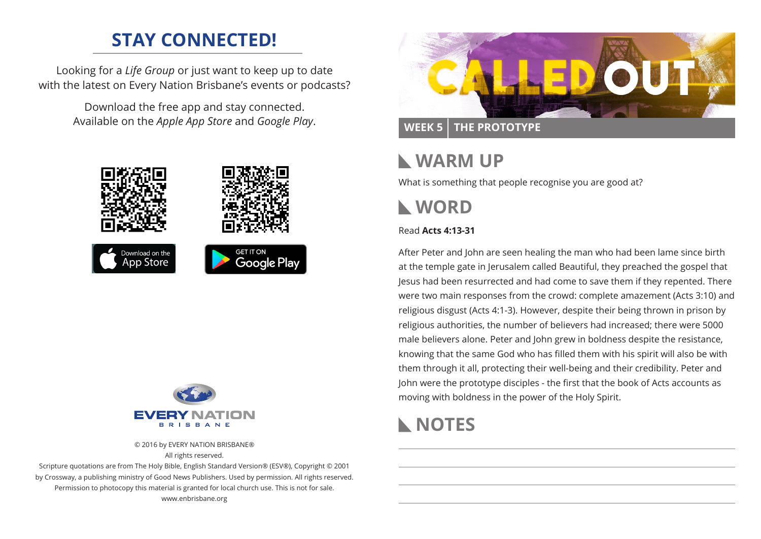## **STAY CONNECTED!**

Looking for a *Life Group* or just want to keep up to date with the latest on Every Nation Brisbane's events or podcasts?

> Download the free app and stay connected. Available on the *Apple App Store* and *Google Play*.





© 2016 by EVERY NATION BRISBANE® All rights reserved.

Scripture quotations are from The Holy Bible, English Standard Version® (ESV®), Copyright © 2001 by Crossway, a publishing ministry of Good News Publishers. Used by permission. All rights reserved. Permission to photocopy this material is granted for local church use. This is not for sale. www.enbrisbane.org



## **WARM UP**

What is something that people recognise you are good at?

# **WORD**

#### Read **Acts 4:13-31**

After Peter and John are seen healing the man who had been lame since birth at the temple gate in Jerusalem called Beautiful, they preached the gospel that Jesus had been resurrected and had come to save them if they repented. There were two main responses from the crowd: complete amazement (Acts 3:10) and religious disgust (Acts 4:1-3). However, despite their being thrown in prison by religious authorities, the number of believers had increased; there were 5000 male believers alone. Peter and John grew in boldness despite the resistance, knowing that the same God who has filled them with his spirit will also be with them through it all, protecting their well-being and their credibility. Peter and John were the prototype disciples - the first that the book of Acts accounts as moving with boldness in the power of the Holy Spirit.

## **NOTES**